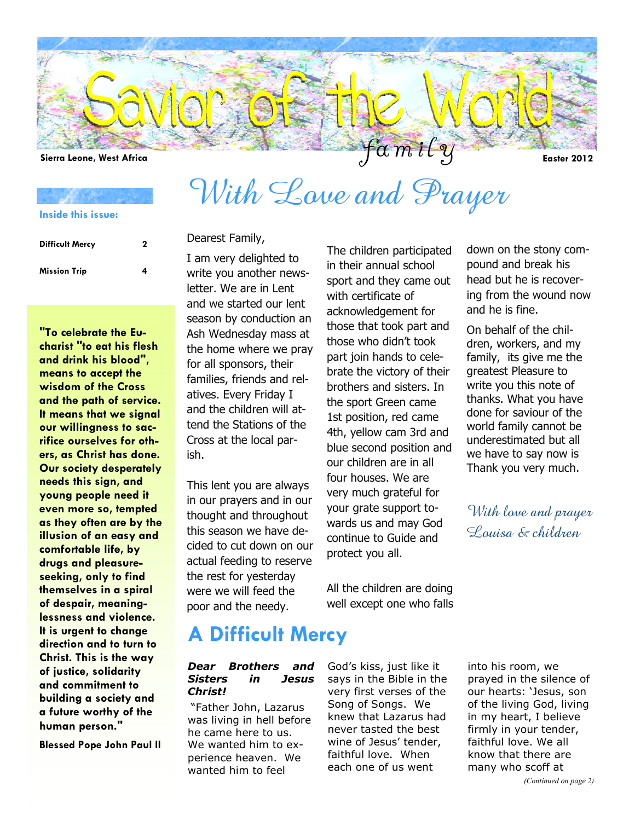

With Love and Prayer

**Inside this issue:**

| <b>Difficult Mercy</b> | 2 |  |
|------------------------|---|--|
| <b>Mission Trip</b>    | 4 |  |

**"To celebrate the Eucharist "to eat his flesh and drink his blood", means to accept the wisdom of the Cross and the path of service. It means that we signal our willingness to sacrifice ourselves for others, as Christ has done. Our society desperately needs this sign, and young people need it even more so, tempted as they often are by the illusion of an easy and comfortable life, by drugs and pleasureseeking, only to find themselves in a spiral of despair, meaninglessness and violence. It is urgent to change direction and to turn to Christ. This is the way of justice, solidarity and commitment to building a society and a future worthy of the human person."** 

**Blessed Pope John Paul ll** 

### Dearest Family,

I am very delighted to write you another newsletter. We are in Lent and we started our lent season by conduction an Ash Wednesday mass at the home where we pray for all sponsors, their families, friends and relatives. Every Friday I and the children will attend the Stations of the Cross at the local parish.

This lent you are always in our prayers and in our thought and throughout this season we have decided to cut down on our actual feeding to reserve the rest for yesterday were we will feed the poor and the needy.

## **A Difficult Mercy**

### *Dear Brothers and Sisters in Jesus Christ!*

"Father John, Lazarus was living in hell before he came here to us. We wanted him to experience heaven. We wanted him to feel

The children participated in their annual school sport and they came out with certificate of acknowledgement for those that took part and those who didn't took part join hands to celebrate the victory of their brothers and sisters. In the sport Green came 1st position, red came 4th, yellow cam 3rd and blue second position and our children are in all four houses. We are very much grateful for your grate support towards us and may God continue to Guide and protect you all.

All the children are doing well except one who falls

God's kiss, just like it says in the Bible in the very first verses of the Song of Songs. We knew that Lazarus had never tasted the best wine of Jesus' tender, faithful love. When each one of us went

down on the stony compound and break his head but he is recovering from the wound now

and he is fine. On behalf of the children, workers, and my family, its give me the greatest Pleasure to write you this note of thanks. What you have done for saviour of the world family cannot be underestimated but all we have to say now is Thank you very much.

With love and prayer Louisa & children

into his room, we prayed in the silence of our hearts: 'Jesus, son of the living God, living in my heart, I believe firmly in your tender, faithful love. We all know that there are many who scoff at

### *(Continued on page 2)*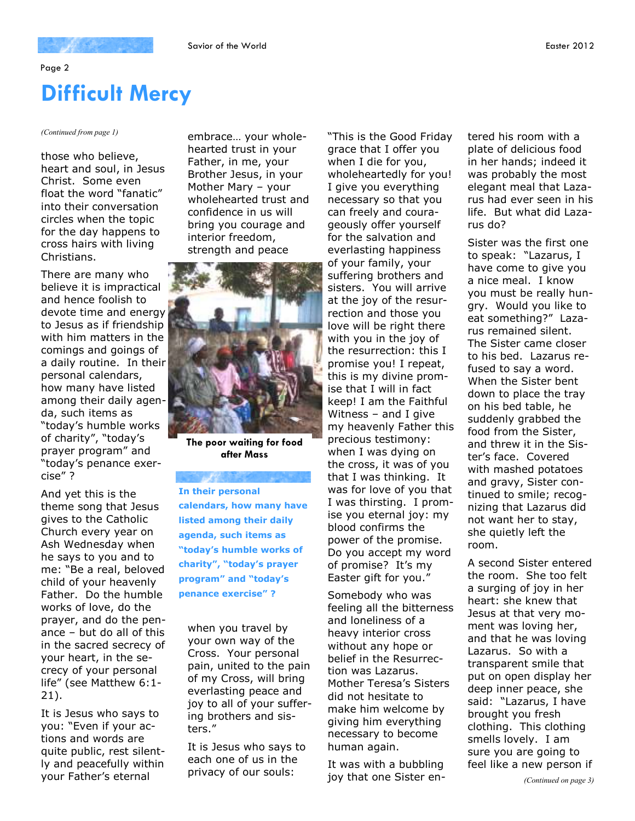### Page 2

# **Difficult Mercy**

### *(Continued from page 1)*

those who believe, heart and soul, in Jesus Christ. Some even float the word "fanatic" into their conversation circles when the topic for the day happens to cross hairs with living Christians.

There are many who believe it is impractical and hence foolish to devote time and energy to Jesus as if friendship with him matters in the comings and goings of a daily routine. In their personal calendars, how many have listed among their daily agenda, such items as "today's humble works of charity", "today's prayer program" and "today's penance exercise" ?

And yet this is the theme song that Jesus gives to the Catholic Church every year on Ash Wednesday when he says to you and to me: "Be a real, beloved child of your heavenly Father. Do the humble works of love, do the prayer, and do the penance – but do all of this in the sacred secrecy of your heart, in the secrecy of your personal life" (see Matthew 6:1- 21).

It is Jesus who says to you: "Even if your actions and words are quite public, rest silently and peacefully within your Father's eternal

embrace… your wholehearted trust in your Father, in me, your Brother Jesus, in your Mother Mary – your wholehearted trust and confidence in us will bring you courage and interior freedom, strength and peace



**The poor waiting for food after Mass** 

**In their personal calendars, how many have listed among their daily agenda, such items as "today's humble works of charity", "today's prayer program" and "today's penance exercise" ?** 

when you travel by your own way of the Cross. Your personal pain, united to the pain of my Cross, will bring everlasting peace and joy to all of your suffering brothers and sisters."

It is Jesus who says to each one of us in the privacy of our souls:

"This is the Good Friday grace that I offer you when I die for you, wholeheartedly for you! I give you everything necessary so that you can freely and courageously offer yourself for the salvation and everlasting happiness of your family, your suffering brothers and sisters. You will arrive at the joy of the resurrection and those you love will be right there with you in the joy of the resurrection: this I promise you! I repeat, this is my divine promise that I will in fact keep! I am the Faithful Witness – and I give my heavenly Father this precious testimony: when I was dying on the cross, it was of you that I was thinking. It was for love of you that I was thirsting. I promise you eternal joy: my blood confirms the power of the promise. Do you accept my word of promise? It's my Easter gift for you."

Somebody who was feeling all the bitterness and loneliness of a heavy interior cross without any hope or belief in the Resurrection was Lazarus. Mother Teresa's Sisters did not hesitate to make him welcome by giving him everything necessary to become human again.

It was with a bubbling joy that one Sister entered his room with a plate of delicious food in her hands; indeed it was probably the most elegant meal that Lazarus had ever seen in his life. But what did Lazarus do?

Sister was the first one to speak: "Lazarus, I have come to give you a nice meal. I know you must be really hungry. Would you like to eat something?" Lazarus remained silent. The Sister came closer to his bed. Lazarus refused to say a word. When the Sister bent down to place the tray on his bed table, he suddenly grabbed the food from the Sister, and threw it in the Sister's face. Covered with mashed potatoes and gravy, Sister continued to smile; recognizing that Lazarus did not want her to stay, she quietly left the room.

A second Sister entered the room. She too felt a surging of joy in her heart: she knew that Jesus at that very moment was loving her, and that he was loving Lazarus. So with a transparent smile that put on open display her deep inner peace, she said: "Lazarus, I have brought you fresh clothing. This clothing smells lovely. I am sure you are going to feel like a new person if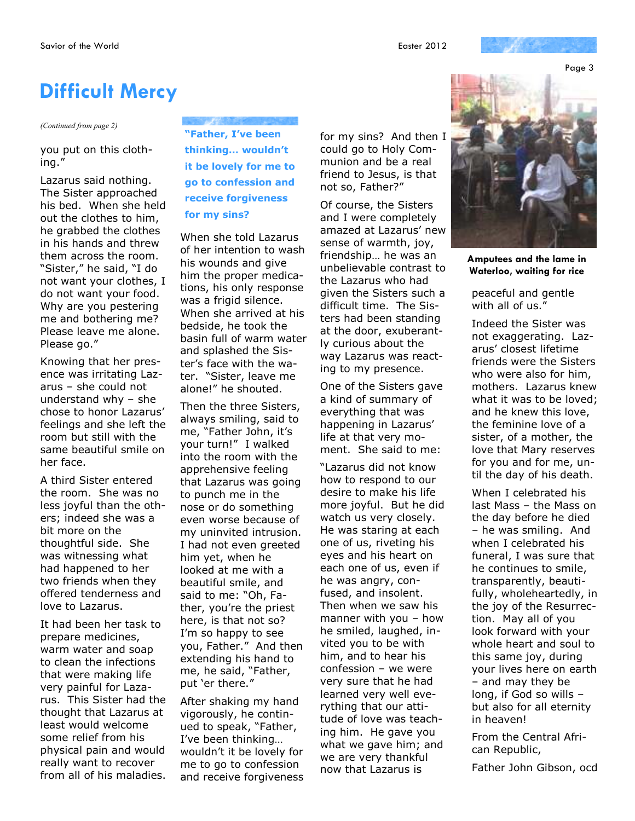Page 3

## **Difficult Mercy**

### *(Continued from page 2)*

you put on this clothing."

Lazarus said nothing. The Sister approached his bed. When she held out the clothes to him, he grabbed the clothes in his hands and threw them across the room. "Sister," he said, "I do not want your clothes, I do not want your food. Why are you pestering me and bothering me? Please leave me alone. Please go."

Knowing that her presence was irritating Lazarus – she could not understand why – she chose to honor Lazarus' feelings and she left the room but still with the same beautiful smile on her face.

A third Sister entered the room. She was no less joyful than the others; indeed she was a bit more on the thoughtful side. She was witnessing what had happened to her two friends when they offered tenderness and love to Lazarus.

It had been her task to prepare medicines, warm water and soap to clean the infections that were making life very painful for Lazarus. This Sister had the thought that Lazarus at least would welcome some relief from his physical pain and would really want to recover from all of his maladies.

**"Father, I've been thinking… wouldn't it be lovely for me to go to confession and receive forgiveness for my sins?** 

When she told Lazarus of her intention to wash his wounds and give him the proper medications, his only response was a frigid silence. When she arrived at his bedside, he took the basin full of warm water and splashed the Sister's face with the water. "Sister, leave me alone!" he shouted.

Then the three Sisters, always smiling, said to me, "Father John, it's your turn!" I walked into the room with the apprehensive feeling that Lazarus was going to punch me in the nose or do something even worse because of my uninvited intrusion. I had not even greeted him yet, when he looked at me with a beautiful smile, and said to me: "Oh, Father, you're the priest here, is that not so? I'm so happy to see you, Father." And then extending his hand to me, he said, "Father, put 'er there."

After shaking my hand vigorously, he continued to speak, "Father, I've been thinking… wouldn't it be lovely for me to go to confession and receive forgiveness for my sins? And then I could go to Holy Communion and be a real friend to Jesus, is that not so, Father?"

Of course, the Sisters and I were completely amazed at Lazarus' new sense of warmth, joy, friendship… he was an unbelievable contrast to the Lazarus who had given the Sisters such a difficult time. The Sisters had been standing at the door, exuberantly curious about the way Lazarus was reacting to my presence.

One of the Sisters gave a kind of summary of everything that was happening in Lazarus' life at that very moment. She said to me:

"Lazarus did not know how to respond to our desire to make his life more joyful. But he did watch us very closely. He was staring at each one of us, riveting his eyes and his heart on each one of us, even if he was angry, confused, and insolent. Then when we saw his manner with you – how he smiled, laughed, invited you to be with him, and to hear his confession – we were very sure that he had learned very well everything that our attitude of love was teaching him. He gave you what we gave him; and we are very thankful now that Lazarus is



**Amputees and the lame in Waterloo, waiting for rice** 

peaceful and gentle with all of us."

Indeed the Sister was not exaggerating. Lazarus' closest lifetime friends were the Sisters who were also for him, mothers. Lazarus knew what it was to be loved; and he knew this love, the feminine love of a sister, of a mother, the love that Mary reserves for you and for me, until the day of his death.

When I celebrated his last Mass – the Mass on the day before he died – he was smiling. And when I celebrated his funeral, I was sure that he continues to smile, transparently, beautifully, wholeheartedly, in the joy of the Resurrection. May all of you look forward with your whole heart and soul to this same joy, during your lives here on earth – and may they be long, if God so wills – but also for all eternity in heaven!

From the Central African Republic,

Father John Gibson, ocd